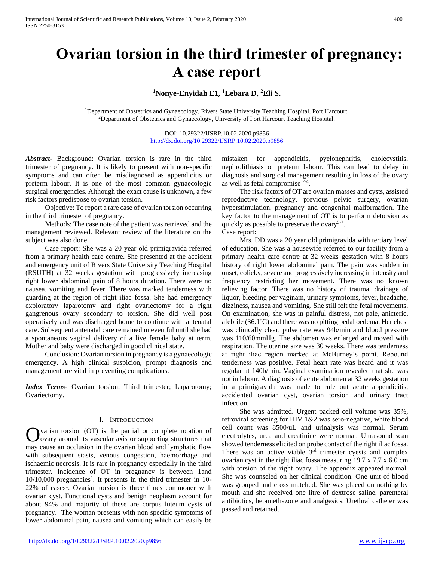# **Ovarian torsion in the third trimester of pregnancy: A case report**

# **<sup>1</sup>Nonye-Enyidah E1, <sup>1</sup>Lebara D, <sup>2</sup>Eli S.**

<sup>1</sup>Department of Obstetrics and Gynaecology, Rivers State University Teaching Hospital, Port Harcourt. <sup>2</sup>Department of Obstetrics and Gynaecology, University of Port Harcourt Teaching Hospital.

> DOI: 10.29322/IJSRP.10.02.2020.p9856 <http://dx.doi.org/10.29322/IJSRP.10.02.2020.p9856>

*Abstract***-** Background: Ovarian torsion is rare in the third trimester of pregnancy. It is likely to present with non-specific symptoms and can often be misdiagnosed as appendicitis or preterm labour. It is one of the most common gynaecologic surgical emergencies. Although the exact cause is unknown, a few risk factors predispose to ovarian torsion.

 Objective: To report a rare case of ovarian torsion occurring in the third trimester of pregnancy.

 Methods: The case note of the patient was retrieved and the management reviewed. Relevant review of the literature on the subject was also done.

 Case report: She was a 20 year old primigravida referred from a primary health care centre. She presented at the accident and emergency unit of Rivers State University Teaching Hospital (RSUTH) at 32 weeks gestation with progressively increasing right lower abdominal pain of 8 hours duration. There were no nausea, vomiting and fever. There was marked tenderness with guarding at the region of right iliac fossa. She had emergency exploratory laparotomy and right ovariectomy for a right gangrenous ovary secondary to torsion. She did well post operatively and was discharged home to continue with antenatal care. Subsequent antenatal care remained uneventful until she had a spontaneous vaginal delivery of a live female baby at term. Mother and baby were discharged in good clinical state.

 Conclusion: Ovarian torsion in pregnancy is a gynaecologic emergency. A high clinical suspicion, prompt diagnosis and management are vital in preventing complications.

*Index Terms*- Ovarian torsion; Third trimester; Laparotomy; Ovariectomy.

## I. INTRODUCTION

varian torsion (OT) is the partial or complete rotation of ovary around its vascular axis or supporting structures that may cause an occlusion in the ovarian blood and lymphatic flow with subsequent stasis, venous congestion, haemorrhage and ischaemic necrosis. It is rare in pregnancy especially in the third trimester. Incidence of OT in pregnancy is between 1and 10/10,000 pregnancies<sup>1</sup>. It presents in the third trimester in 10-22% of cases<sup>1</sup>. Ovarian torsion is three times commoner with ovarian cyst. Functional cysts and benign neoplasm account for about 94% and majority of these are corpus luteum cysts of pregnancy. The woman presents with non specific symptoms of lower abdominal pain, nausea and vomiting which can easily be O

mistaken for appendicitis, pyelonephritis, cholecystitis, nephrolithiasis or preterm labour. This can lead to delay in diagnosis and surgical management resulting in loss of the ovary as well as fetal compromise  $2-4$ .

 The risk factors of OT are ovarian masses and cysts, assisted reproductive technology, previous pelvic surgery, ovarian hyperstimulation, pregnancy and congenital malformation. The key factor to the management of OT is to perform detorsion as quickly as possible to preserve the ovary<sup>5-7</sup>.

Case report:

 Mrs. DD was a 20 year old primigravida with tertiary level of education. She was a housewife referred to our facility from a primary health care centre at 32 weeks gestation with 8 hours history of right lower abdominal pain. The pain was sudden in onset, colicky, severe and progressively increasing in intensity and frequency restricting her movement. There was no known relieving factor. There was no history of trauma, drainage of liquor, bleeding per vaginam, urinary symptoms, fever, headache, dizziness, nausea and vomiting. She still felt the fetal movements. On examination, she was in painful distress, not pale, anicteric, afebrile  $(36.1^{\circ}\text{C})$  and there was no pitting pedal oedema. Her chest was clinically clear, pulse rate was 94b/min and blood pressure was 110/60mmHg. The abdomen was enlarged and moved with respiration. The uterine size was 30 weeks. There was tenderness at right iliac region marked at McBurney's point. Rebound tenderness was positive. Fetal heart rate was heard and it was regular at 140b/min. Vaginal examination revealed that she was not in labour. A diagnosis of acute abdomen at 32 weeks gestation in a primigravida was made to rule out acute appendicitis, accidented ovarian cyst, ovarian torsion and urinary tract infection.

 She was admitted. Urgent packed cell volume was 35%, retroviral screening for HIV 1&2 was sero-negative, white blood cell count was 8500/uL and urinalysis was normal. Serum electrolytes, urea and creatinine were normal. Ultrasound scan showed tenderness elicited on probe contact of the right iliac fossa. There was an active viable 3<sup>rd</sup> trimester cyesis and complex ovarian cyst in the right iliac fossa measuring 19.7 x 7.7 x 6.0 cm with torsion of the right ovary. The appendix appeared normal. She was counseled on her clinical condition. One unit of blood was grouped and cross matched. She was placed on nothing by mouth and she received one litre of dextrose saline, parenteral antibiotics, betamethazone and analgesics. Urethral catheter was passed and retained.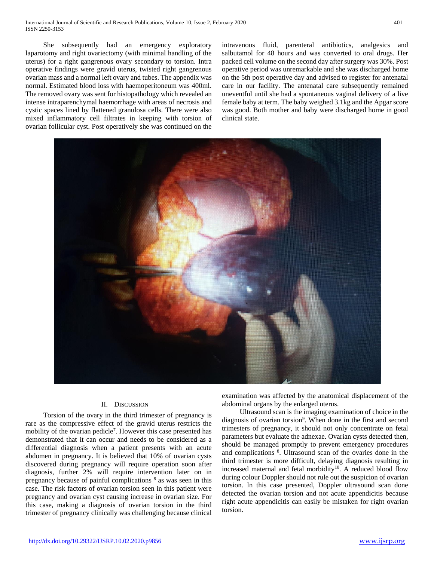She subsequently had an emergency exploratory laparotomy and right ovariectomy (with minimal handling of the uterus) for a right gangrenous ovary secondary to torsion. Intra operative findings were gravid uterus, twisted right gangrenous ovarian mass and a normal left ovary and tubes. The appendix was normal. Estimated blood loss with haemoperitoneum was 400ml. The removed ovary was sent for histopathology which revealed an intense intraparenchymal haemorrhage with areas of necrosis and cystic spaces lined by flattened granulosa cells. There were also mixed inflammatory cell filtrates in keeping with torsion of ovarian follicular cyst. Post operatively she was continued on the intravenous fluid, parenteral antibiotics, analgesics and salbutamol for 48 hours and was converted to oral drugs. Her packed cell volume on the second day after surgery was 30%. Post operative period was unremarkable and she was discharged home on the 5th post operative day and advised to register for antenatal care in our facility. The antenatal care subsequently remained uneventful until she had a spontaneous vaginal delivery of a live female baby at term. The baby weighed 3.1kg and the Apgar score was good. Both mother and baby were discharged home in good clinical state.



# II. DISCUSSION

 Torsion of the ovary in the third trimester of pregnancy is rare as the compressive effect of the gravid uterus restricts the mobility of the ovarian pedicle<sup>7</sup>. However this case presented has demonstrated that it can occur and needs to be considered as a differential diagnosis when a patient presents with an acute abdomen in pregnancy. It is believed that 10% of ovarian cysts discovered during pregnancy will require operation soon after diagnosis, further 2% will require intervention later on in pregnancy because of painful complications <sup>8</sup> as was seen in this case. The risk factors of ovarian torsion seen in this patient were pregnancy and ovarian cyst causing increase in ovarian size. For this case, making a diagnosis of ovarian torsion in the third trimester of pregnancy clinically was challenging because clinical

examination was affected by the anatomical displacement of the abdominal organs by the enlarged uterus.

 Ultrasound scan is the imaging examination of choice in the diagnosis of ovarian torsion<sup>9</sup>. When done in the first and second trimesters of pregnancy, it should not only concentrate on fetal parameters but evaluate the adnexae. Ovarian cysts detected then, should be managed promptly to prevent emergency procedures and complications <sup>8</sup> . Ultrasound scan of the ovaries done in the third trimester is more difficult, delaying diagnosis resulting in increased maternal and fetal morbidity<sup>10</sup>. A reduced blood flow during colour Doppler should not rule out the suspicion of ovarian torsion. In this case presented, Doppler ultrasound scan done detected the ovarian torsion and not acute appendicitis because right acute appendicitis can easily be mistaken for right ovarian torsion.